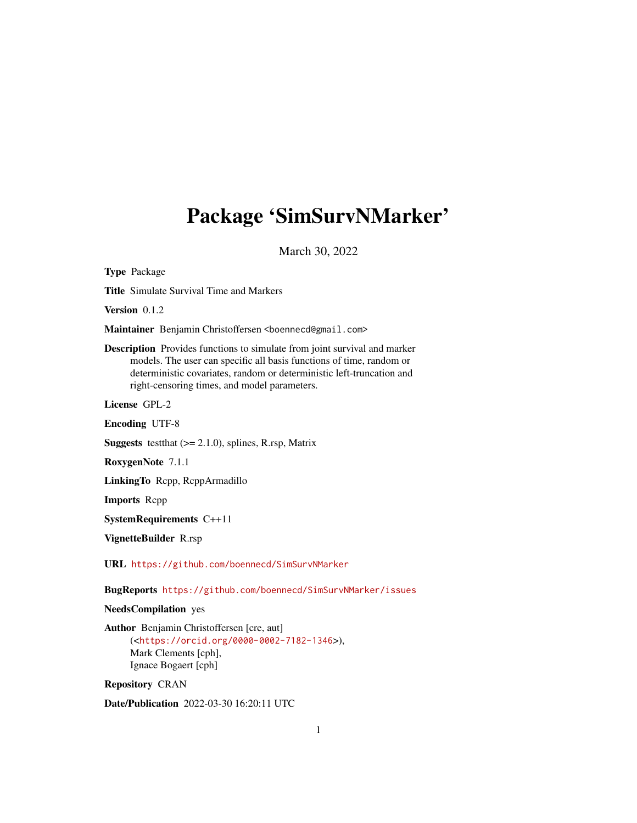## <span id="page-0-0"></span>Package 'SimSurvNMarker'

March 30, 2022

Type Package Title Simulate Survival Time and Markers Version 0.1.2 Maintainer Benjamin Christoffersen <br/>boennecd@gmail.com> Description Provides functions to simulate from joint survival and marker models. The user can specific all basis functions of time, random or deterministic covariates, random or deterministic left-truncation and right-censoring times, and model parameters. License GPL-2 Encoding UTF-8 **Suggests** test that  $(>= 2.1.0)$ , splines, R.rsp, Matrix RoxygenNote 7.1.1 LinkingTo Rcpp, RcppArmadillo Imports Rcpp SystemRequirements C++11 VignetteBuilder R.rsp URL <https://github.com/boennecd/SimSurvNMarker> BugReports <https://github.com/boennecd/SimSurvNMarker/issues> NeedsCompilation yes Author Benjamin Christoffersen [cre, aut] (<<https://orcid.org/0000-0002-7182-1346>>), Mark Clements [cph], Ignace Bogaert [cph] Repository CRAN

Date/Publication 2022-03-30 16:20:11 UTC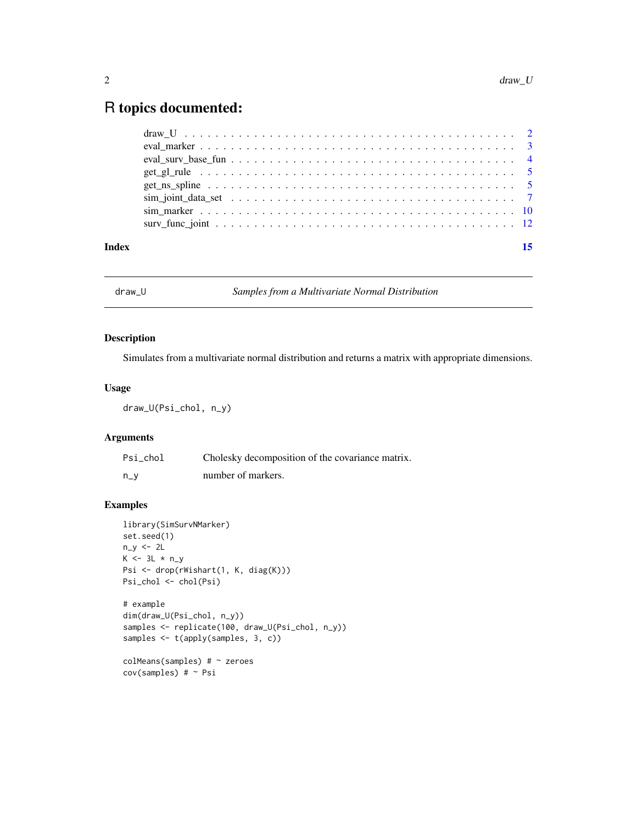### <span id="page-1-0"></span>R topics documented:

| Index | 15 |
|-------|----|
|       |    |
|       |    |
|       |    |
|       |    |
|       |    |
|       |    |
|       |    |
|       |    |

<span id="page-1-1"></span>draw\_U *Samples from a Multivariate Normal Distribution*

#### Description

Simulates from a multivariate normal distribution and returns a matrix with appropriate dimensions.

#### Usage

draw\_U(Psi\_chol, n\_y)

#### Arguments

| Psi chol | Cholesky decomposition of the covariance matrix. |
|----------|--------------------------------------------------|
| $n_v$    | number of markers.                               |

```
library(SimSurvNMarker)
set.seed(1)
n_y < -2LK \leftarrow 3L * n_yPsi <- drop(rWishart(1, K, diag(K)))
Psi_chol <- chol(Psi)
# example
dim(draw_U(Psi_chol, n_y))
samples <- replicate(100, draw_U(Psi_chol, n_y))
samples <- t(apply(samples, 3, c))
colMeans(samples) # ~ zeroes
cov(samples) # ~ Psi
```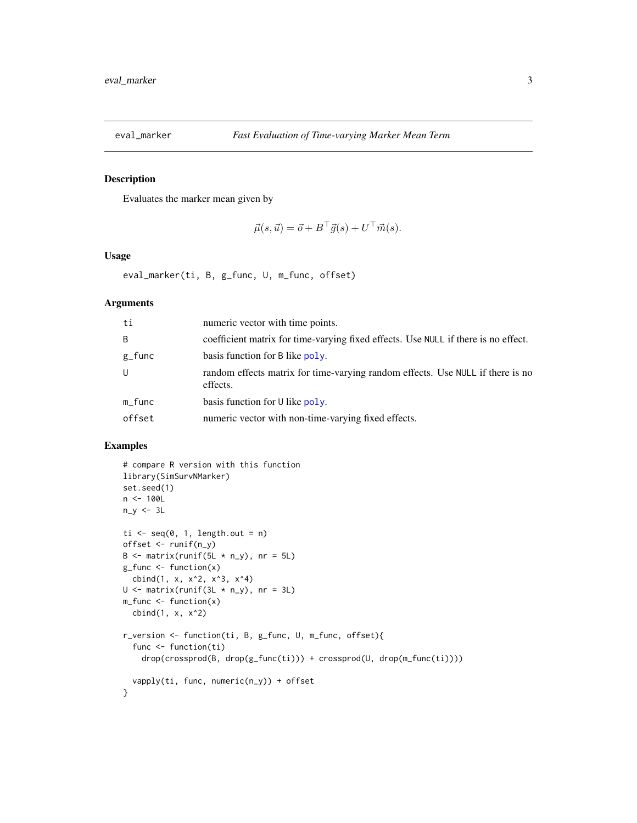<span id="page-2-1"></span><span id="page-2-0"></span>

#### Description

Evaluates the marker mean given by

$$
\vec{\mu}(s,\vec{u}) = \vec{o} + B^{\top}\vec{g}(s) + U^{\top}\vec{m}(s).
$$

#### Usage

```
eval_marker(ti, B, g_func, U, m_func, offset)
```
#### Arguments

| ti           | numeric vector with time points.                                                           |
|--------------|--------------------------------------------------------------------------------------------|
| B            | coefficient matrix for time-varying fixed effects. Use NULL if there is no effect.         |
| $g_{r}$ func | basis function for B like poly.                                                            |
| U            | random effects matrix for time-varying random effects. Use NULL if there is no<br>effects. |
| $m_f$ unc    | basis function for $\cup$ like poly.                                                       |
| offset       | numeric vector with non-time-varying fixed effects.                                        |

```
# compare R version with this function
library(SimSurvNMarker)
set.seed(1)
n < -100L
n_y \leftarrow 3Lti \leq seq(0, 1, length.out = n)
offset <- runif(n_y)
B \leftarrow matrix(runif(5L * n_y), nr = 5L)g_ffunc \leftarrow function(x)
  cbind(1, x, x^2, x^3, x^4)
U \leftarrow matrix(runif(3L * n_y), nr = 3L)m_func <- function(x)
  cbind(1, x, x^2)
r_version <- function(ti, B, g_func, U, m_func, offset){
  func <- function(ti)
    drop(crossprod(B, drop(g_func(ti))) + crossprod(U, drop(m_func(ti))))
  vapply(ti, func, numeric(n_y)) + offset
}
```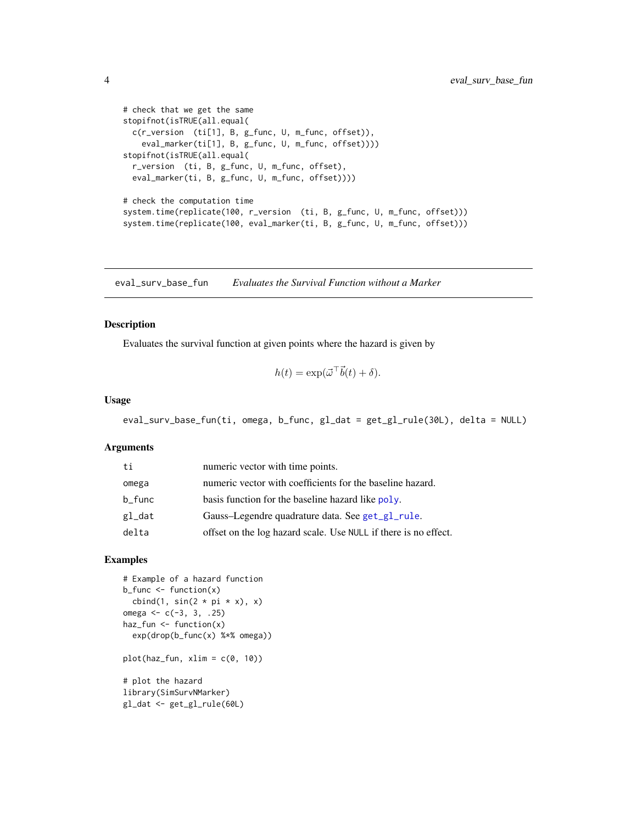```
# check that we get the same
stopifnot(isTRUE(all.equal(
  c(r_version (ti[1], B, g_func, U, m_func, offset)),
    eval_marker(ti[1], B, g_func, U, m_func, offset))))
stopifnot(isTRUE(all.equal(
  r_version (ti, B, g_func, U, m_func, offset),
  eval_marker(ti, B, g_func, U, m_func, offset))))
# check the computation time
system.time(replicate(100, r_version (ti, B, g_func, U, m_func, offset)))
system.time(replicate(100, eval_marker(ti, B, g_func, U, m_func, offset)))
```
<span id="page-3-1"></span>eval\_surv\_base\_fun *Evaluates the Survival Function without a Marker*

#### Description

Evaluates the survival function at given points where the hazard is given by

$$
h(t) = \exp(\vec{\omega}^\top \vec{b}(t) + \delta).
$$

#### Usage

```
eval_surv_base_fun(ti, omega, b_func, gl_dat = get_gl_rule(30L), delta = NULL)
```
#### Arguments

| ti        | numeric vector with time points.                                |
|-----------|-----------------------------------------------------------------|
| omega     | numeric vector with coefficients for the baseline hazard.       |
| $b$ _func | basis function for the baseline hazard like poly.               |
| gl_dat    | Gauss-Legendre quadrature data. See get_gl_rule.                |
| delta     | offset on the log hazard scale. Use NULL if there is no effect. |

```
# Example of a hazard function
b_func \leq function(x)
  cbind(1, sin(2 * pi * x), x)
omega <-c(-3, 3, .25)haz_fun <- function(x)
  exp(drop(b_func(x) %*% omega))
plot(haz_fun, xlim = c(0, 10))# plot the hazard
library(SimSurvNMarker)
gl_dat <- get_gl_rule(60L)
```
<span id="page-3-0"></span>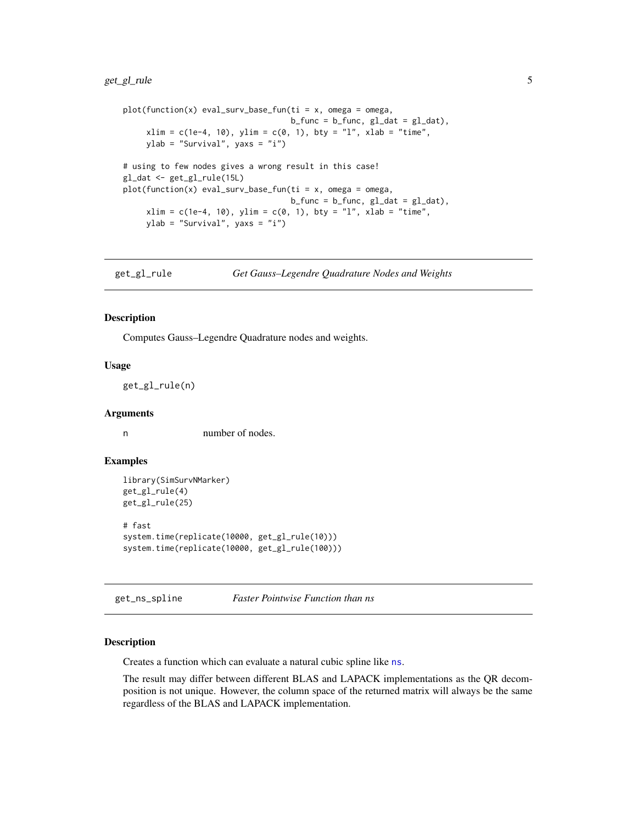#### <span id="page-4-0"></span>get\_gl\_rule 5

```
plot(function(x) eval_sum\_sharp\_fun(ti = x, omega = omega,b_func = b_func, g_ldat = g_ldat),
     xlim = c(1e-4, 10), ylim = c(0, 1), bty = "1", xlab = "time",ylab = "Survival", yaxs = "i")
# using to few nodes gives a wrong result in this case!
gl_dat <- get_gl_rule(15L)
plot(function(x) eval_surv_base_fun(ti = x, omega = omega,
                                   b_func = b_func, g_ldat = g_ldat),
     xlim = c(1e-4, 10), ylim = c(0, 1), bty = "1", xlab = "time",ylab = "Survival", yaxs = "i")
```
<span id="page-4-1"></span>

#### Description

Computes Gauss–Legendre Quadrature nodes and weights.

#### Usage

get\_gl\_rule(n)

#### Arguments

n number of nodes.

#### Examples

```
library(SimSurvNMarker)
get_gl_rule(4)
get_gl_rule(25)
# fast
system.time(replicate(10000, get_gl_rule(10)))
system.time(replicate(10000, get_gl_rule(100)))
```
get\_ns\_spline *Faster Pointwise Function than ns*

#### Description

Creates a function which can evaluate a natural cubic spline like [ns](#page-0-0).

The result may differ between different BLAS and LAPACK implementations as the QR decomposition is not unique. However, the column space of the returned matrix will always be the same regardless of the BLAS and LAPACK implementation.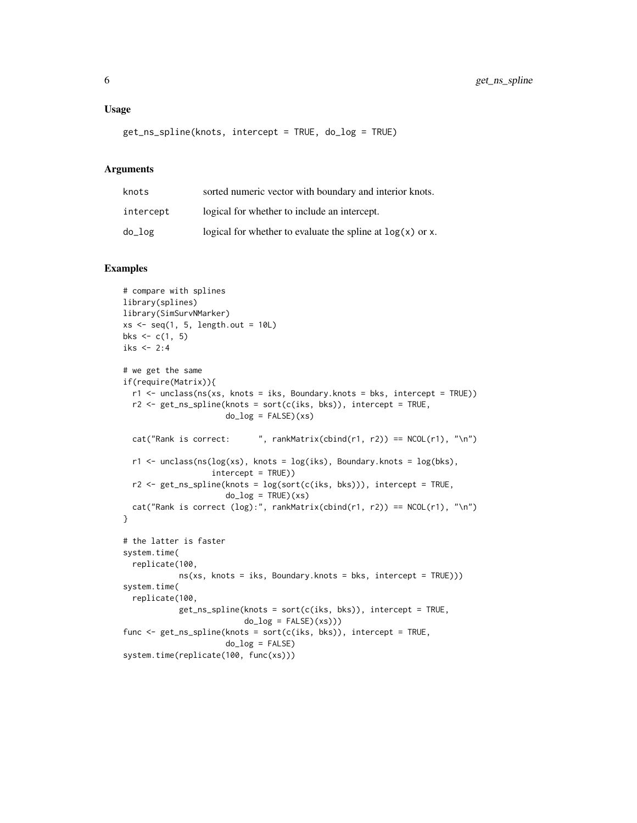```
get_ns_spline(knots, intercept = TRUE, do_log = TRUE)
```
#### Arguments

| knots       | sorted numeric vector with boundary and interior knots.      |
|-------------|--------------------------------------------------------------|
| intercept   | logical for whether to include an intercept.                 |
| $do\_{log}$ | logical for whether to evaluate the spline at $log(x)$ or x. |

```
# compare with splines
library(splines)
library(SimSurvNMarker)
xs < -seq(1, 5, length.out = 10L)bks <-c(1, 5)iks <-2:4# we get the same
if(require(Matrix)){
  r1 <- unclass(ns(xs, knots = iks, Boundary.knots = bks, intercept = TRUE))
  r2 <- get_ns_spline(knots = sort(c(iks, bks)), intercept = TRUE,
                     do\_log = FALSE)(xs)cat("Rank is correct: ", rankMatrix(cbind(r1, r2)) == NCOL(r1), "\n")
  r1 <- unclass(ns(log(xs), knots = log(iks), Boundary.knots = log(bks),
                   intercept = TRUE))
  r2 <- get_ns_spline(knots = log(sort(c(iks, bks))), intercept = TRUE,
                     do\_log = TRUE)(xs)cat("Rank is correct (log):", rankMatrix(cbind(r1, r2)) == NCOL(r1), "\\n")}
# the latter is faster
system.time(
  replicate(100,
            ns(xs, knots = iks, Boundary.knots = bks, intercept = TRUE)))
system.time(
  replicate(100,
            get_ns_spline(knots = sort(c(iks, bks)), intercept = TRUE,
                         do_log = FALSE(xs)))func <- get_ns_spline(knots = sort(c(iks, bks)), intercept = TRUE,
                     do_log = FALSE)system.time(replicate(100, func(xs)))
```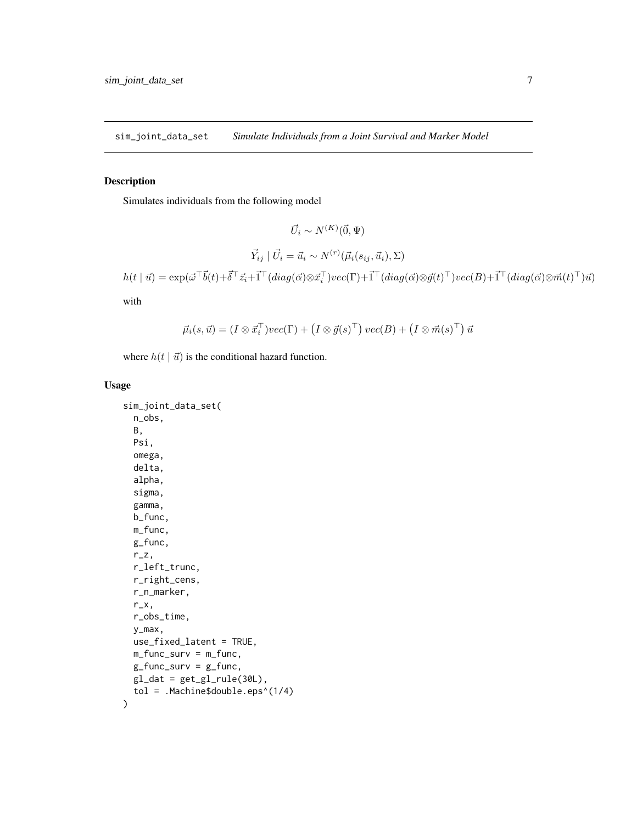<span id="page-6-0"></span>sim\_joint\_data\_set *Simulate Individuals from a Joint Survival and Marker Model*

#### Description

Simulates individuals from the following model

$$
\vec{U}_i \sim N^{(K)}(\vec{0}, \Psi)
$$

$$
\vec{Y}_{ij} \mid \vec{U}_i = \vec{u}_i \sim N^{(r)}(\vec{\mu}_i(s_{ij}, \vec{u}_i), \Sigma)
$$

$$
h(t \mid \vec{u}) = \exp(\vec{\omega}^\top \vec{b}(t) + \vec{\delta}^\top \vec{z}_i + \vec{1}^\top (diag(\vec{\alpha}) \otimes \vec{x}_i^\top) \cdot vec(\Gamma) + \vec{1}^\top (diag(\vec{\alpha}) \otimes \vec{g}(t)^\top) \cdot vec(B) + \vec{1}^\top (diag(\vec{\alpha}) \otimes \vec{m}(t)^\top) \vec{u})
$$

with

$$
\vec{\mu}_i(s,\vec{u}) = (I \otimes \vec{x}_i^{\top})vec(\Gamma) + (I \otimes \vec{g}(s)^{\top})vec(\Gamma) + (I \otimes \vec{m}(s)^{\top}) \vec{u}
$$

where  $h(t | \vec{u})$  is the conditional hazard function.

#### Usage

```
sim_joint_data_set(
 n_obs,
 B,
 Psi,
  omega,
 delta,
  alpha,
  sigma,
  gamma,
 b_func,
 m_func,
 g_func,
 r_z,
 r_left_trunc,
 r_right_cens,
 r_n_marker,
 r_x,
  r_obs_time,
 y_max,
 use_fixed_latent = TRUE,
 m_func_surv = m_func,
 g_func_surv = g_func,gl\_dat = get\_gl\_rule(30L),
  tol = .Machine$double.eps^(1/4)
\mathcal{E}
```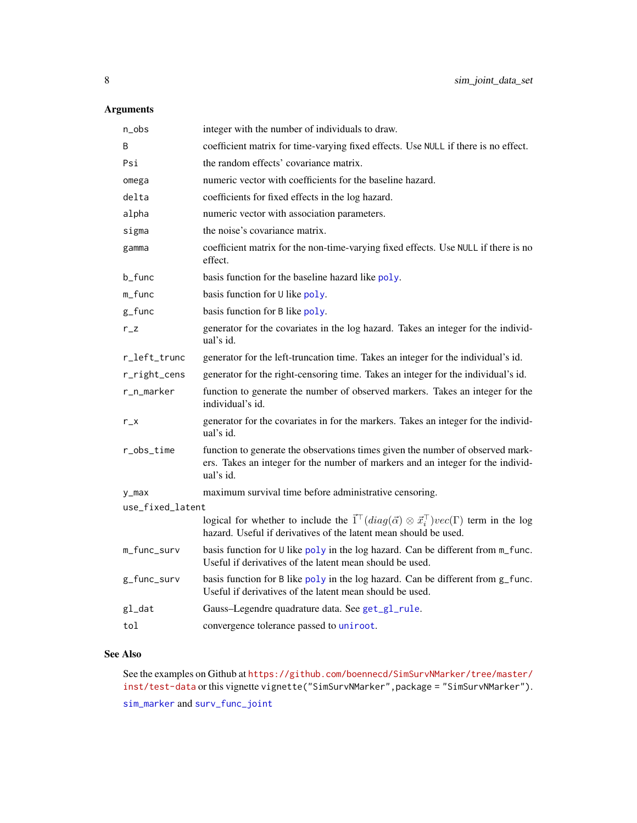#### <span id="page-7-0"></span>Arguments

| n_obs            | integer with the number of individuals to draw.                                                                                                                                                 |
|------------------|-------------------------------------------------------------------------------------------------------------------------------------------------------------------------------------------------|
| B                | coefficient matrix for time-varying fixed effects. Use NULL if there is no effect.                                                                                                              |
| Psi              | the random effects' covariance matrix.                                                                                                                                                          |
| omega            | numeric vector with coefficients for the baseline hazard.                                                                                                                                       |
| delta            | coefficients for fixed effects in the log hazard.                                                                                                                                               |
| alpha            | numeric vector with association parameters.                                                                                                                                                     |
| sigma            | the noise's covariance matrix.                                                                                                                                                                  |
| gamma            | coefficient matrix for the non-time-varying fixed effects. Use NULL if there is no<br>effect.                                                                                                   |
| b_func           | basis function for the baseline hazard like poly.                                                                                                                                               |
| m_func           | basis function for U like poly.                                                                                                                                                                 |
| $g_f$ unc        | basis function for B like poly.                                                                                                                                                                 |
| $r_{Z}$          | generator for the covariates in the log hazard. Takes an integer for the individ-<br>ual's id.                                                                                                  |
| r_left_trunc     | generator for the left-truncation time. Takes an integer for the individual's id.                                                                                                               |
| r_right_cens     | generator for the right-censoring time. Takes an integer for the individual's id.                                                                                                               |
| r_n_marker       | function to generate the number of observed markers. Takes an integer for the<br>individual's id.                                                                                               |
| $r_{X}$          | generator for the covariates in for the markers. Takes an integer for the individ-<br>ual's id.                                                                                                 |
| r_obs_time       | function to generate the observations times given the number of observed mark-<br>ers. Takes an integer for the number of markers and an integer for the individ-<br>ual's id.                  |
| $y_{max}$        | maximum survival time before administrative censoring.                                                                                                                                          |
| use_fixed_latent |                                                                                                                                                                                                 |
|                  | logical for whether to include the $\vec{1}^{\top}(diag(\vec{\alpha}) \otimes \vec{x}_i^{\top})vec(\Gamma)$ term in the log<br>hazard. Useful if derivatives of the latent mean should be used. |
| m_func_surv      | basis function for U like poly in the log hazard. Can be different from m_func.<br>Useful if derivatives of the latent mean should be used.                                                     |
| g_func_surv      | basis function for B like poly in the log hazard. Can be different from g_func.<br>Useful if derivatives of the latent mean should be used.                                                     |
| gl_dat           | Gauss-Legendre quadrature data. See get_gl_rule.                                                                                                                                                |
| tol              | convergence tolerance passed to uniroot.                                                                                                                                                        |

#### See Also

See the examples on Github at [https://github.com/boennecd/SimSurvNMarker/tree/master/](https://github.com/boennecd/SimSurvNMarker/tree/master/inst/test-data) [inst/test-data](https://github.com/boennecd/SimSurvNMarker/tree/master/inst/test-data) or this vignette vignette("SimSurvNMarker",package = "SimSurvNMarker"). [sim\\_marker](#page-9-1) and [surv\\_func\\_joint](#page-11-1)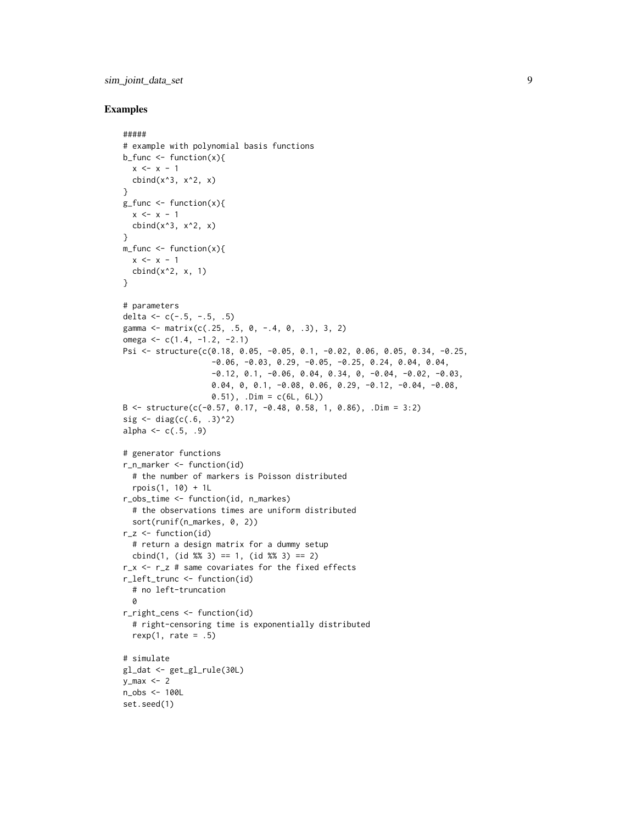#### sim\_joint\_data\_set 9

```
#####
# example with polynomial basis functions
b_func \leq function(x){
 x \leq -x - 1cbind(x^3, x^2, x)}
g_func <- function(x){
 x \le -x - 1cbind(x^3, x^2, x)}
m_func <- function(x){
  x \le -x - 1cbind(x^2, x, 1)}
# parameters
delta <- c(-.5, -.5, .5)gamma <- matrix(c(.25, .5, 0, -.4, 0, .3), 3, 2)
omega \leq c(1.4, -1.2, -2.1)Psi <- structure(c(0.18, 0.05, -0.05, 0.1, -0.02, 0.06, 0.05, 0.34, -0.25,
                   -0.06, -0.03, 0.29, -0.05, -0.25, 0.24, 0.04, 0.04,-0.12, 0.1, -0.06, 0.04, 0.34, 0, -0.04, -0.02, -0.03,
                   0.04, 0, 0.1, -0.08, 0.06, 0.29, -0.12, -0.04, -0.08,
                   0.51), .Dim = c(6L, 6L))
B <- structure(c(-0.57, 0.17, -0.48, 0.58, 1, 0.86), .Dim = 3:2)
sig \leftarrow diag(c(.6, .3)^2)alpha \leq -c(.5, .9)# generator functions
r_n_marker <- function(id)
  # the number of markers is Poisson distributed
  rpois(1, 10) + 1L
r_obs_time <- function(id, n_markes)
  # the observations times are uniform distributed
  sort(runif(n_markes, 0, 2))
r_z < - function(id)
  # return a design matrix for a dummy setup
  cbind(1, (id %3) == 1, (id %3) == 2)
r_x <- r_z # same covariates for the fixed effects
r_left_trunc <- function(id)
  # no left-truncation
  0
r_right_cens <- function(id)
  # right-censoring time is exponentially distributed
  rexp(1, rate = .5)# simulate
gl_dat <- get_gl_rule(30L)
y_max < -2n_obs <- 100L
set.seed(1)
```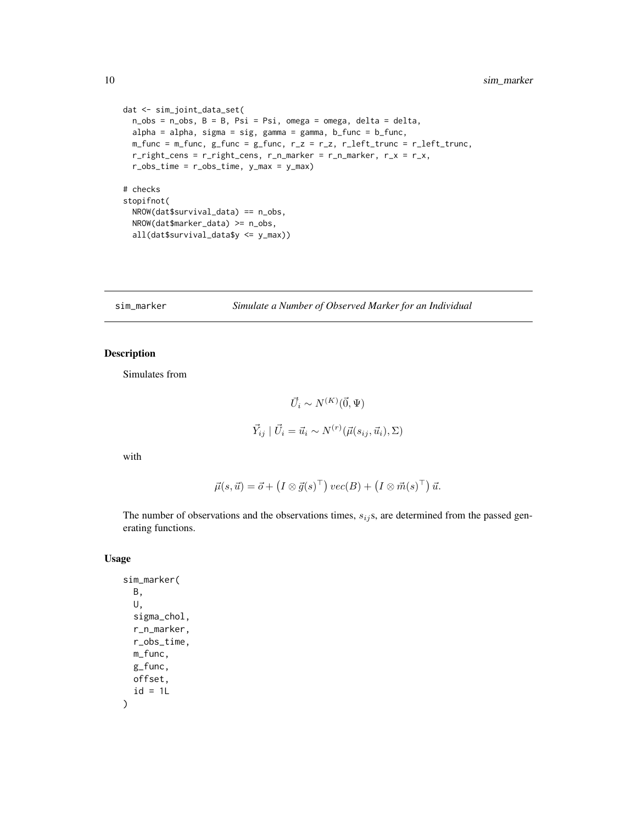```
dat <- sim_joint_data_set(
 n_obs = n_obs, B = B, Psi = Psi, omega = omega, delta = delta,
 alpha = alpha, sigma = sig, gamma = gamma, b_func = b_func,
 m_func = m_func, g_func = g_func, r_2 = r_2, r_fleft_trunc = r_fleft_trunc,
 r\_right\_cens = r\_right\_cens, r\_n\_marker = r\_n\_marker, r\_x = r\_x,r\_obs\_time = r\_obs\_time, y\_max = y\_max)# checks
stopifnot(
 NROW(dat$survival_data) == n_obs,
 NROW(dat$marker_data) >= n_obs,
 all(dat$survival_data$y <= y_max))
```

```
sim_marker Simulate a Number of Observed Marker for an Individual
```
#### Description

Simulates from

$$
\vec{U}_i \sim N^{(K)}(\vec{0}, \Psi)
$$
  

$$
\vec{Y}_{ij} \mid \vec{U}_i = \vec{u}_i \sim N^{(r)}(\vec{\mu}(s_{ij}, \vec{u}_i), \Sigma)
$$

with

$$
\vec{\mu}(s,\vec{u}) = \vec{o} + (I \otimes \vec{g}(s)^{\top}) \, vec(B) + (I \otimes \vec{m}(s)^{\top}) \, \vec{u}.
$$

The number of observations and the observations times,  $s_{ij}$ s, are determined from the passed generating functions.

#### Usage

sim\_marker( B, U, sigma\_chol, r\_n\_marker, r\_obs\_time, m\_func, g\_func, offset,  $id = 1L$ )

<span id="page-9-0"></span>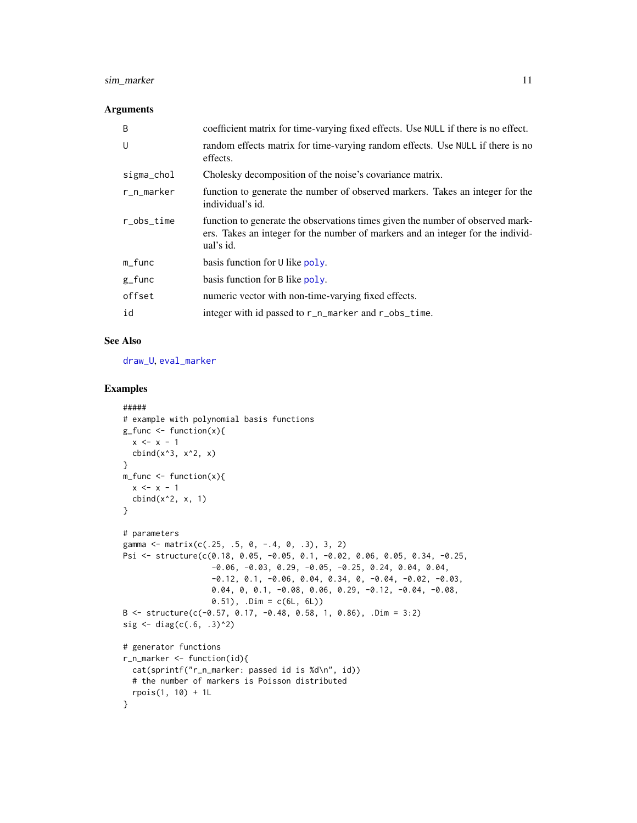#### <span id="page-10-0"></span>sim\_marker 11

#### Arguments

| B              | coefficient matrix for time-varying fixed effects. Use NULL if there is no effect.                                                                                             |
|----------------|--------------------------------------------------------------------------------------------------------------------------------------------------------------------------------|
| U              | random effects matrix for time-varying random effects. Use NULL if there is no<br>effects.                                                                                     |
| sigma_chol     | Cholesky decomposition of the noise's covariance matrix.                                                                                                                       |
| r_n_marker     | function to generate the number of observed markers. Takes an integer for the<br>individual's id.                                                                              |
| $r_{obs_time}$ | function to generate the observations times given the number of observed mark-<br>ers. Takes an integer for the number of markers and an integer for the individ-<br>ual's id. |
| $m_f$ unc      | basis function for $\cup$ like poly.                                                                                                                                           |
| $g_{r}$ func   | basis function for B like poly.                                                                                                                                                |
| offset         | numeric vector with non-time-varying fixed effects.                                                                                                                            |
| id             | integer with id passed to r_n_marker and r_obs_time.                                                                                                                           |

#### See Also

[draw\\_U](#page-1-1), [eval\\_marker](#page-2-1)

```
#####
# example with polynomial basis functions
g_func <- function(x){
 x \leq -x - 1cbind(x^3, x^2, x)}
m_func <- function(x){
 x \leq -x - 1cbind(x^2, x, 1)}
# parameters
gamma <- matrix(c(.25, .5, 0, -.4, 0, .3), 3, 2)
Psi <- structure(c(0.18, 0.05, -0.05, 0.1, -0.02, 0.06, 0.05, 0.34, -0.25,
                   -0.06, -0.03, 0.29, -0.05, -0.25, 0.24, 0.04, 0.04,-0.12, 0.1, -0.06, 0.04, 0.34, 0, -0.04, -0.02, -0.03,
                   0.04, 0, 0.1, -0.08, 0.06, 0.29, -0.12, -0.04, -0.08,
                   0.51), .Dim = c(6L, 6L))
B <- structure(c(-0.57, 0.17, -0.48, 0.58, 1, 0.86), .Dim = 3:2)
sig \leftarrow diag(c(.6, .3)^2)# generator functions
r_n_marker <- function(id){
 cat(sprintf("r_n_marker: passed id is %d\n", id))
  # the number of markers is Poisson distributed
  rpois(1, 10) + 1L
}
```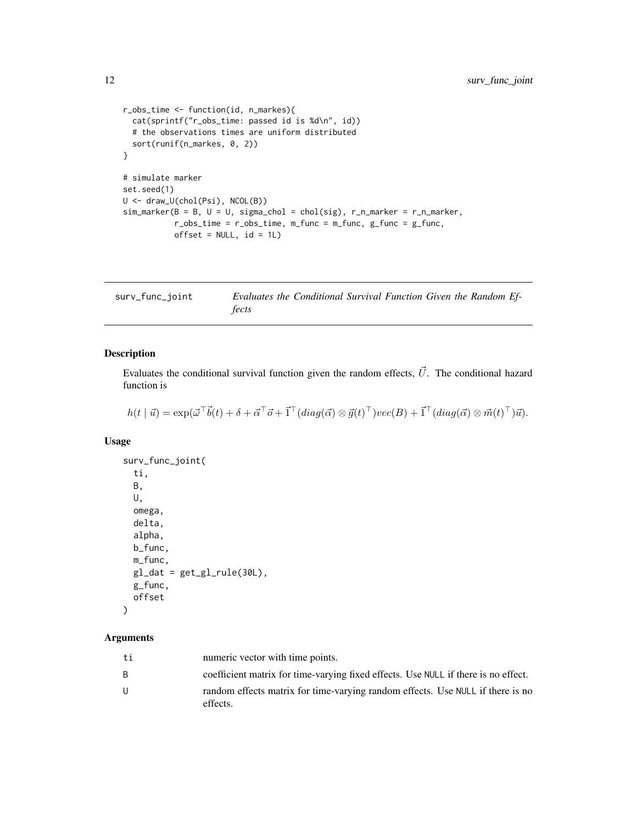```
r_obs_time <- function(id, n_markes){
  cat(sprintf("r_obs_time: passed id is %d\n", id))
  # the observations times are uniform distributed
  sort(runif(n_markes, 0, 2))
}
# simulate marker
set.seed(1)
U <- draw_U(chol(Psi), NCOL(B))
sim\_marker(B = B, U = U, sigma\_chol = chol(sig), r_n\_marker = r_n\_marker,r\_obs\_time = r\_obs\_time, m\_func = m\_func, g\_func = g\_func,
           offset = NULL, id = 1L)
```
<span id="page-11-1"></span>

| surv_func_joint | Evaluates the Conditional Survival Function Given the Random Ef- |  |  |  |
|-----------------|------------------------------------------------------------------|--|--|--|
|                 | fects                                                            |  |  |  |

#### Description

Evaluates the conditional survival function given the random effects,  $\vec{U}$ . The conditional hazard function is

 $h(t | \vec{u}) = \exp(\vec{\omega}^\top \vec{b}(t) + \delta + \vec{\alpha}^\top \vec{\sigma} + \vec{1}^\top (diag(\vec{\alpha}) \otimes \vec{g}(t)^\top) vec(B) + \vec{1}^\top (diag(\vec{\alpha}) \otimes \vec{m}(t)^\top) \vec{u}).$ 

#### Usage

```
surv_func_joint(
 ti,
 B,
 U,
 omega,
 delta,
  alpha,
 b_func,
 m_func,
 gl\_dat = get\_gl\_rule(30L),
 g_func,
 offset
)
```
#### Arguments

| ti | numeric vector with time points.                                                           |
|----|--------------------------------------------------------------------------------------------|
| B. | coefficient matrix for time-varying fixed effects. Use NULL if there is no effect.         |
| U  | random effects matrix for time-varying random effects. Use NULL if there is no<br>effects. |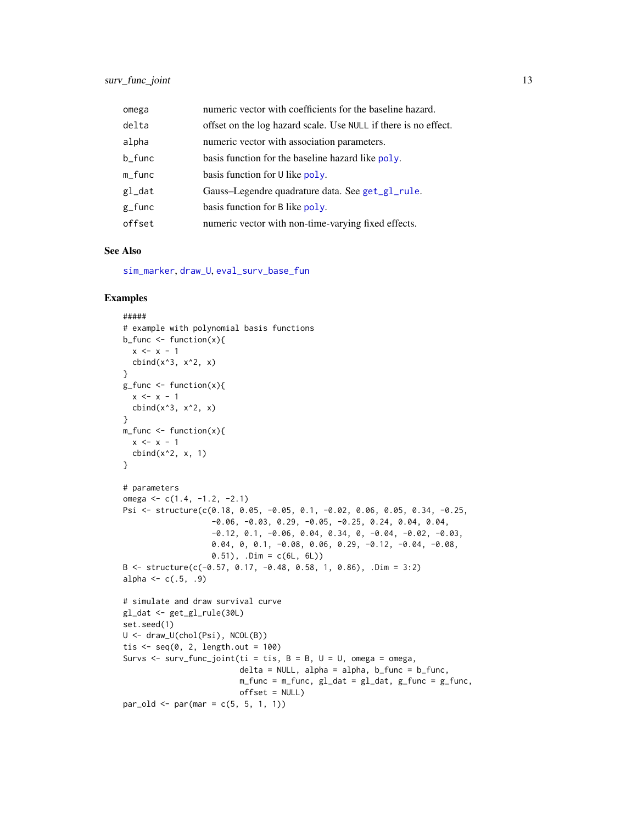<span id="page-12-0"></span>

| omega     | numeric vector with coefficients for the baseline hazard.       |
|-----------|-----------------------------------------------------------------|
| delta     | offset on the log hazard scale. Use NULL if there is no effect. |
| alpha     | numeric vector with association parameters.                     |
| b_func    | basis function for the baseline hazard like poly.               |
| $m_f$ unc | basis function for U like poly.                                 |
| gl_dat    | Gauss-Legendre quadrature data. See get_gl_rule.                |
| $g_f$ unc | basis function for B like poly.                                 |
| offset    | numeric vector with non-time-varying fixed effects.             |

#### See Also

[sim\\_marker](#page-9-1), [draw\\_U](#page-1-1), [eval\\_surv\\_base\\_fun](#page-3-1)

```
#####
# example with polynomial basis functions
b_func \leq function(x){
 x \le -x - 1cbind(x^3, x^2, x)}
g_ffunc <- function(x){
 x < - x - 1cbind(x^3, x^2, x)}
m_f function(x){
 x \leq -x - 1cbind(x^2, x, 1)}
# parameters
omega \leq c(1.4, -1.2, -2.1)Psi <- structure(c(0.18, 0.05, -0.05, 0.1, -0.02, 0.06, 0.05, 0.34, -0.25,
                   -0.06, -0.03, 0.29, -0.05, -0.25, 0.24, 0.04, 0.04,-0.12, 0.1, -0.06, 0.04, 0.34, 0, -0.04, -0.02, -0.03,0.04, 0, 0.1, -0.08, 0.06, 0.29, -0.12, -0.04, -0.08,
                   0.51), .Dim = c(6L, 6L))
B \le - structure(c(-0.57, 0.17, -0.48, 0.58, 1, 0.86), .Dim = 3:2)
alpha <-c(.5,.9)# simulate and draw survival curve
gl_dat <- get_gl_rule(30L)
set.seed(1)
U <- draw_U(chol(Psi), NCOL(B))
tis \leq seq(0, 2, length.out = 100)
Survs \leq surv_func_joint(ti = tis, B = B, U = U, omega = omega,
                         delta = NULL, alpha = alpha, b_func = b_func,
                         m_func = m_func, g_l_dat = g_l_dat, g_func = g_func,
                         offset = NULL)
par\_old \leq par(max = c(5, 5, 1, 1))
```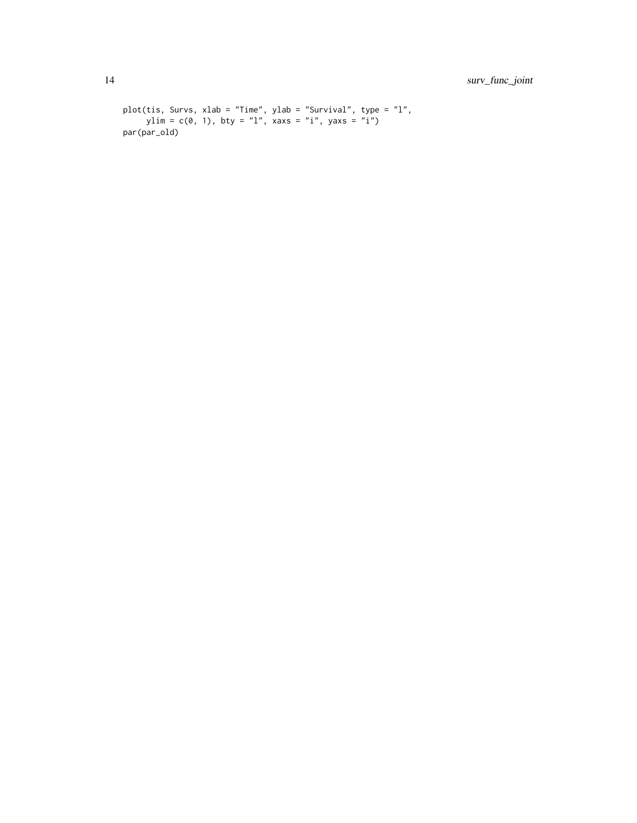```
plot(tis, Survs, xlab = "Time", ylab = "Survival", type = "l",
     ylim = c(0, 1), bty = "l", xaxs = "i", yaxs = "i")
par(par_old)
```